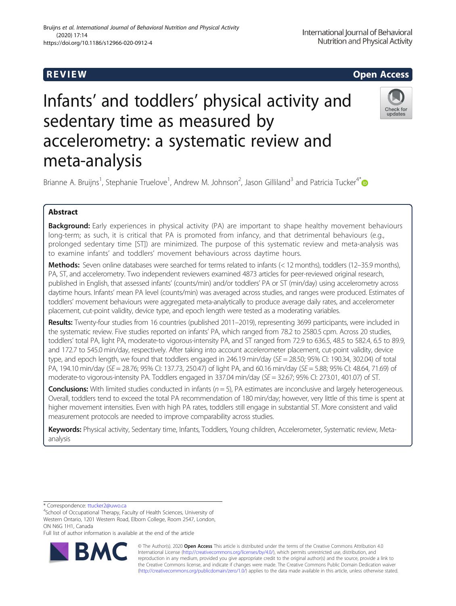# **REVIEW ACCESS AND LOCAL CONTRACT CONTRACT OF ACCESS**

# Infants' and toddlers' physical activity and sedentary time as measured by accelerometry: a systematic review and meta-analysis



Brianne A. Bruijns<sup>1</sup>, Stephanie Truelove<sup>1</sup>, Andrew M. Johnson<sup>2</sup>, Jason Gilliland<sup>3</sup> and Patricia Tucker<sup>4[\\*](http://orcid.org/0000-0002-8392-9418)</sup>

## Abstract

**Background:** Early experiences in physical activity (PA) are important to shape healthy movement behaviours long-term; as such, it is critical that PA is promoted from infancy, and that detrimental behaviours (e.g., prolonged sedentary time [ST]) are minimized. The purpose of this systematic review and meta-analysis was to examine infants' and toddlers' movement behaviours across daytime hours.

Methods: Seven online databases were searched for terms related to infants (< 12 months), toddlers (12–35.9 months), PA, ST, and accelerometry. Two independent reviewers examined 4873 articles for peer-reviewed original research, published in English, that assessed infants' (counts/min) and/or toddlers' PA or ST (min/day) using accelerometry across daytime hours. Infants' mean PA level (counts/min) was averaged across studies, and ranges were produced. Estimates of toddlers' movement behaviours were aggregated meta-analytically to produce average daily rates, and accelerometer placement, cut-point validity, device type, and epoch length were tested as a moderating variables.

Results: Twenty-four studies from 16 countries (published 2011–2019), representing 3699 participants, were included in the systematic review. Five studies reported on infants' PA, which ranged from 78.2 to 2580.5 cpm. Across 20 studies, toddlers' total PA, light PA, moderate-to vigorous-intensity PA, and ST ranged from 72.9 to 636.5, 48.5 to 582.4, 6.5 to 89.9, and 172.7 to 545.0 min/day, respectively. After taking into account accelerometer placement, cut-point validity, device type, and epoch length, we found that toddlers engaged in 246.19 min/day ( $SE = 28.50$ ; 95% CI: 190.34, 302.04) of total PA, 194.10 min/day (SE = 28.76; 95% CI: 137.73, 250.47) of light PA, and 60.16 min/day (SE = 5.88; 95% CI: 48.64, 71.69) of moderate-to vigorous-intensity PA. Toddlers engaged in 337.04 min/day (SE = 32.67; 95% CI: 273.01, 401.07) of ST.

**Conclusions:** With limited studies conducted in infants  $(n = 5)$ , PA estimates are inconclusive and largely heterogeneous. Overall, toddlers tend to exceed the total PA recommendation of 180 min/day; however, very little of this time is spent at higher movement intensities. Even with high PA rates, toddlers still engage in substantial ST. More consistent and valid measurement protocols are needed to improve comparability across studies.

Keywords: Physical activity, Sedentary time, Infants, Toddlers, Young children, Accelerometer, Systematic review, Metaanalysis

\* Correspondence: [ttucker2@uwo.ca](mailto:ttucker2@uwo.ca) <sup>4</sup>

<sup>4</sup>School of Occupational Therapy, Faculty of Health Sciences, University of Western Ontario, 1201 Western Road, Elborn College, Room 2547, London, ON N6G 1H1, Canada

Full list of author information is available at the end of the article



© The Author(s). 2020 **Open Access** This article is distributed under the terms of the Creative Commons Attribution 4.0 International License [\(http://creativecommons.org/licenses/by/4.0/](http://creativecommons.org/licenses/by/4.0/)), which permits unrestricted use, distribution, and reproduction in any medium, provided you give appropriate credit to the original author(s) and the source, provide a link to the Creative Commons license, and indicate if changes were made. The Creative Commons Public Domain Dedication waiver [\(http://creativecommons.org/publicdomain/zero/1.0/](http://creativecommons.org/publicdomain/zero/1.0/)) applies to the data made available in this article, unless otherwise stated.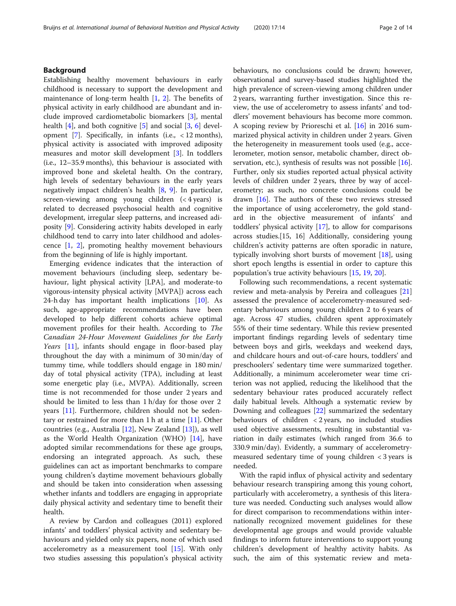### Background

Establishing healthy movement behaviours in early childhood is necessary to support the development and maintenance of long-term health  $[1, 2]$  $[1, 2]$  $[1, 2]$  $[1, 2]$ . The benefits of physical activity in early childhood are abundant and include improved cardiometabolic biomarkers [\[3](#page-12-0)], mental health [\[4](#page-12-0)], and both cognitive [\[5](#page-12-0)] and social [\[3](#page-12-0), [6](#page-12-0)] devel-opment [\[7\]](#page-12-0). Specifically, in infants (i.e.,  $\langle 12 \text{ months} \rangle$ ), physical activity is associated with improved adiposity measures and motor skill development [\[3](#page-12-0)]. In toddlers (i.e., 12–35.9 months), this behaviour is associated with improved bone and skeletal health. On the contrary, high levels of sedentary behaviours in the early years negatively impact children's health [\[8,](#page-12-0) [9](#page-12-0)]. In particular, screen-viewing among young children (< 4 years) is related to decreased psychosocial health and cognitive development, irregular sleep patterns, and increased adiposity [[9\]](#page-12-0). Considering activity habits developed in early childhood tend to carry into later childhood and adolescence [[1,](#page-12-0) [2\]](#page-12-0), promoting healthy movement behaviours from the beginning of life is highly important.

Emerging evidence indicates that the interaction of movement behaviours (including sleep, sedentary behaviour, light physical activity [LPA], and moderate-to vigorous-intensity physical activity [MVPA]) across each 24-h day has important health implications [[10\]](#page-12-0). As such, age-appropriate recommendations have been developed to help different cohorts achieve optimal movement profiles for their health. According to The Canadian 24-Hour Movement Guidelines for the Early Years [[11\]](#page-12-0), infants should engage in floor-based play throughout the day with a minimum of 30 min/day of tummy time, while toddlers should engage in 180 min/ day of total physical activity (TPA), including at least some energetic play (i.e., MVPA). Additionally, screen time is not recommended for those under 2 years and should be limited to less than 1 h/day for those over 2 years [[11\]](#page-12-0). Furthermore, children should not be sedentary or restrained for more than  $1 h$  at a time  $[11]$  $[11]$ . Other countries (e.g., Australia [[12](#page-12-0)], New Zealand [\[13](#page-12-0)]), as well as the World Health Organization (WHO) [\[14](#page-12-0)], have adopted similar recommendations for these age groups, endorsing an integrated approach. As such, these guidelines can act as important benchmarks to compare young children's daytime movement behaviours globally and should be taken into consideration when assessing whether infants and toddlers are engaging in appropriate daily physical activity and sedentary time to benefit their health.

A review by Cardon and colleagues (2011) explored infants' and toddlers' physical activity and sedentary behaviours and yielded only six papers, none of which used accelerometry as a measurement tool [[15](#page-12-0)]. With only two studies assessing this population's physical activity behaviours, no conclusions could be drawn; however, observational and survey-based studies highlighted the high prevalence of screen-viewing among children under 2 years, warranting further investigation. Since this review, the use of accelerometry to assess infants' and toddlers' movement behaviours has become more common. A scoping review by Prioreschi et al. [[16\]](#page-12-0) in 2016 summarized physical activity in children under 2 years. Given the heterogeneity in measurement tools used (e.g., accelerometer, motion sensor, metabolic chamber, direct ob-servation, etc.), synthesis of results was not possible [\[16](#page-12-0)]. Further, only six studies reported actual physical activity levels of children under 2 years, three by way of accelerometry; as such, no concrete conclusions could be drawn [[16\]](#page-12-0). The authors of these two reviews stressed the importance of using accelerometry, the gold standard in the objective measurement of infants' and toddlers' physical activity [[17\]](#page-12-0), to allow for comparisons across studies.[15, 16] Additionally, considering young children's activity patterns are often sporadic in nature, typically involving short bursts of movement [[18\]](#page-12-0), using short epoch lengths is essential in order to capture this population's true activity behaviours [\[15](#page-12-0), [19](#page-12-0), [20\]](#page-12-0).

Following such recommendations, a recent systematic review and meta-analysis by Pereira and colleagues [[21](#page-12-0)] assessed the prevalence of accelerometry-measured sedentary behaviours among young children 2 to 6 years of age. Across 47 studies, children spent approximately 55% of their time sedentary. While this review presented important findings regarding levels of sedentary time between boys and girls, weekdays and weekend days, and childcare hours and out-of-care hours, toddlers' and preschoolers' sedentary time were summarized together. Additionally, a minimum accelerometer wear time criterion was not applied, reducing the likelihood that the sedentary behaviour rates produced accurately reflect daily habitual levels. Although a systematic review by Downing and colleagues [[22\]](#page-12-0) summarized the sedentary behaviours of children < 2 years, no included studies used objective assessments, resulting in substantial variation in daily estimates (which ranged from 36.6 to 330.9 min/day). Evidently, a summary of accelerometrymeasured sedentary time of young children < 3 years is needed.

With the rapid influx of physical activity and sedentary behaviour research transpiring among this young cohort, particularly with accelerometry, a synthesis of this literature was needed. Conducting such analyses would allow for direct comparison to recommendations within internationally recognized movement guidelines for these developmental age groups and would provide valuable findings to inform future interventions to support young children's development of healthy activity habits. As such, the aim of this systematic review and meta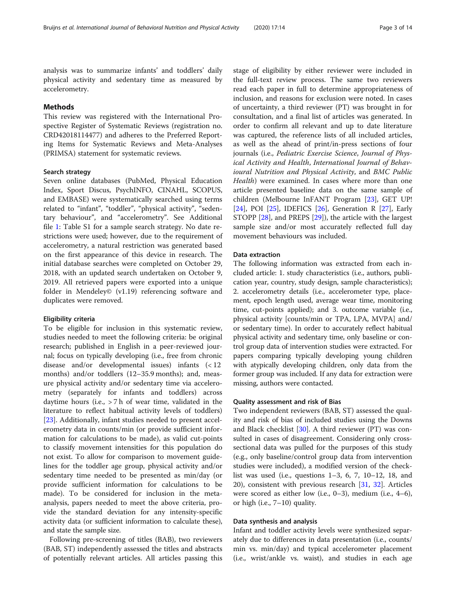analysis was to summarize infants' and toddlers' daily physical activity and sedentary time as measured by accelerometry.

#### Methods

This review was registered with the International Prospective Register of Systematic Reviews (registration no. CRD42018114477) and adheres to the Preferred Reporting Items for Systematic Reviews and Meta-Analyses (PRIMSA) statement for systematic reviews.

#### Search strategy

Seven online databases (PubMed, Physical Education Index, Sport Discus, PsychINFO, CINAHL, SCOPUS, and EMBASE) were systematically searched using terms related to "infant", "toddler", "physical activity", "sedentary behaviour", and "accelerometry". See Additional file [1](#page-12-0): Table S1 for a sample search strategy. No date restrictions were used; however, due to the requirement of accelerometry, a natural restriction was generated based on the first appearance of this device in research. The initial database searches were completed on October 29, 2018, with an updated search undertaken on October 9, 2019. All retrieved papers were exported into a unique folder in Mendeley© (v1.19) referencing software and duplicates were removed.

#### Eligibility criteria

To be eligible for inclusion in this systematic review, studies needed to meet the following criteria: be original research; published in English in a peer-reviewed journal; focus on typically developing (i.e., free from chronic disease and/or developmental issues) infants (< 12 months) and/or toddlers (12–35.9 months); and, measure physical activity and/or sedentary time via accelerometry (separately for infants and toddlers) across daytime hours (i.e., > 7 h of wear time, validated in the literature to reflect habitual activity levels of toddlers) [[23\]](#page-12-0). Additionally, infant studies needed to present accelerometry data in counts/min (or provide sufficient information for calculations to be made), as valid cut-points to classify movement intensities for this population do not exist. To allow for comparison to movement guidelines for the toddler age group, physical activity and/or sedentary time needed to be presented as min/day (or provide sufficient information for calculations to be made). To be considered for inclusion in the metaanalysis, papers needed to meet the above criteria, provide the standard deviation for any intensity-specific activity data (or sufficient information to calculate these), and state the sample size.

Following pre-screening of titles (BAB), two reviewers (BAB, ST) independently assessed the titles and abstracts of potentially relevant articles. All articles passing this stage of eligibility by either reviewer were included in the full-text review process. The same two reviewers read each paper in full to determine appropriateness of inclusion, and reasons for exclusion were noted. In cases of uncertainty, a third reviewer (PT) was brought in for consultation, and a final list of articles was generated. In order to confirm all relevant and up to date literature was captured, the reference lists of all included articles, as well as the ahead of print/in-press sections of four journals (i.e., Pediatric Exercise Science, Journal of Physical Activity and Health, International Journal of Behavioural Nutrition and Physical Activity, and BMC Public Health) were examined. In cases where more than one article presented baseline data on the same sample of children (Melbourne InFANT Program [\[23](#page-12-0)], GET UP! [[24\]](#page-12-0), POI [[25](#page-12-0)], IDEFICS [[26\]](#page-12-0), Generation R [\[27](#page-12-0)], Early STOPP [[28\]](#page-13-0), and PREPS [[29](#page-13-0)]), the article with the largest sample size and/or most accurately reflected full day movement behaviours was included.

#### Data extraction

The following information was extracted from each included article: 1. study characteristics (i.e., authors, publication year, country, study design, sample characteristics); 2. accelerometry details (i.e., accelerometer type, placement, epoch length used, average wear time, monitoring time, cut-points applied); and 3. outcome variable (i.e., physical activity [counts/min or TPA, LPA, MVPA] and/ or sedentary time). In order to accurately reflect habitual physical activity and sedentary time, only baseline or control group data of intervention studies were extracted. For papers comparing typically developing young children with atypically developing children, only data from the former group was included. If any data for extraction were missing, authors were contacted.

#### Quality assessment and risk of Bias

Two independent reviewers (BAB, ST) assessed the quality and risk of bias of included studies using the Downs and Black checklist [\[30](#page-13-0)]. A third reviewer (PT) was consulted in cases of disagreement. Considering only crosssectional data was pulled for the purposes of this study (e.g., only baseline/control group data from intervention studies were included), a modified version of the checklist was used (i.e., questions 1–3, 6, 7, 10–12, 18, and 20), consistent with previous research [[31](#page-13-0), [32\]](#page-13-0). Articles were scored as either low (i.e.,  $0-3$ ), medium (i.e.,  $4-6$ ), or high (i.e., 7–10) quality.

#### Data synthesis and analysis

Infant and toddler activity levels were synthesized separately due to differences in data presentation (i.e., counts/ min vs. min/day) and typical accelerometer placement (i.e., wrist/ankle vs. waist), and studies in each age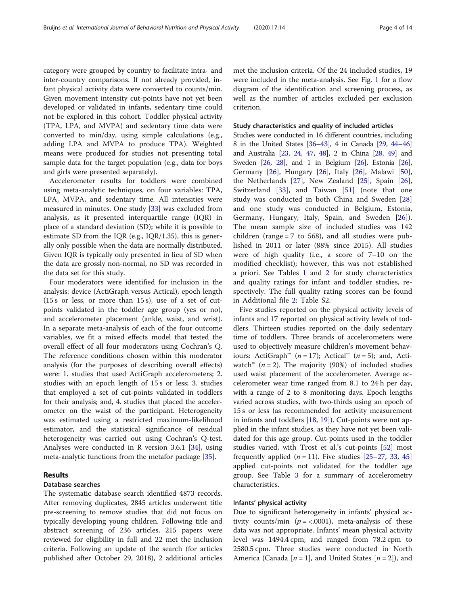category were grouped by country to facilitate intra- and inter-country comparisons. If not already provided, infant physical activity data were converted to counts/min. Given movement intensity cut-points have not yet been developed or validated in infants, sedentary time could not be explored in this cohort. Toddler physical activity (TPA, LPA, and MVPA) and sedentary time data were converted to min/day, using simple calculations (e.g., adding LPA and MVPA to produce TPA). Weighted means were produced for studies not presenting total sample data for the target population (e.g., data for boys and girls were presented separately).

Accelerometer results for toddlers were combined using meta-analytic techniques, on four variables: TPA, LPA, MVPA, and sedentary time. All intensities were measured in minutes. One study [\[33\]](#page-13-0) was excluded from analysis, as it presented interquartile range (IQR) in place of a standard deviation (SD); while it is possible to estimate SD from the IQR (e.g., IQR/1.35), this is generally only possible when the data are normally distributed. Given IQR is typically only presented in lieu of SD when the data are grossly non-normal, no SD was recorded in the data set for this study.

Four moderators were identified for inclusion in the analysis: device (ActiGraph versus Actical), epoch length (15 s or less, or more than 15 s), use of a set of cutpoints validated in the toddler age group (yes or no), and accelerometer placement (ankle, waist, and wrist). In a separate meta-analysis of each of the four outcome variables, we fit a mixed effects model that tested the overall effect of all four moderators using Cochran's Q. The reference conditions chosen within this moderator analysis (for the purposes of describing overall effects) were: 1. studies that used ActiGraph accelerometers; 2. studies with an epoch length of 15 s or less; 3. studies that employed a set of cut-points validated in toddlers for their analysis; and, 4. studies that placed the accelerometer on the waist of the participant. Heterogeneity was estimated using a restricted maximum-likelihood estimator, and the statistical significance of residual heterogeneity was carried out using Cochran's Q-test. Analyses were conducted in R version 3.6.1 [\[34](#page-13-0)], using meta-analytic functions from the metafor package [\[35](#page-13-0)].

#### Results

#### Database searches

The systematic database search identified 4873 records. After removing duplicates, 2845 articles underwent title pre-screening to remove studies that did not focus on typically developing young children. Following title and abstract screening of 236 articles, 215 papers were reviewed for eligibility in full and 22 met the inclusion criteria. Following an update of the search (for articles published after October 29, 2018), 2 additional articles

met the inclusion criteria. Of the 24 included studies, 19 were included in the meta-analysis. See Fig. [1](#page-4-0) for a flow diagram of the identification and screening process, as well as the number of articles excluded per exclusion criterion.

#### Study characteristics and quality of included articles

Studies were conducted in 16 different countries, including 8 in the United States [[36](#page-13-0)–[43](#page-13-0)], 4 in Canada [\[29,](#page-13-0) [44](#page-13-0)–[46](#page-13-0)] and Australia [\[23,](#page-12-0) [24](#page-12-0), [47,](#page-13-0) [48](#page-13-0)], 2 in China [\[28](#page-13-0), [49\]](#page-13-0) and Sweden [[26](#page-12-0), [28](#page-13-0)], and 1 in Belgium [\[26\]](#page-12-0), Estonia [\[26](#page-12-0)], Germany [\[26](#page-12-0)], Hungary [[26\]](#page-12-0), Italy [[26\]](#page-12-0), Malawi [\[50](#page-13-0)], the Netherlands [[27\]](#page-12-0), New Zealand [\[25](#page-12-0)], Spain [\[26](#page-12-0)], Switzerland [[33\]](#page-13-0), and Taiwan [\[51](#page-13-0)] (note that one study was conducted in both China and Sweden [\[28](#page-13-0)] and one study was conducted in Belgium, Estonia, Germany, Hungary, Italy, Spain, and Sweden [[26\]](#page-12-0)). The mean sample size of included studies was 142 children (range  $= 7$  to 568), and all studies were published in 2011 or later (88% since 2015). All studies were of high quality (i.e., a score of 7–10 on the modified checklist); however, this was not established a priori. See Tables [1](#page-5-0) and [2](#page-6-0) for study characteristics and quality ratings for infant and toddler studies, respectively. The full quality rating scores can be found in Additional file [2](#page-12-0): Table S2.

Five studies reported on the physical activity levels of infants and 17 reported on physical activity levels of toddlers. Thirteen studies reported on the daily sedentary time of toddlers. Three brands of accelerometers were used to objectively measure children's movement behaviours: ActiGraph<sup>™</sup> (*n* = 17); Actical<sup>™</sup> (*n* = 5); and, Actiwatch<sup>™</sup> (*n* = 2). The majority (90%) of included studies used waist placement of the accelerometer. Average accelerometer wear time ranged from 8.1 to 24 h per day, with a range of 2 to 8 monitoring days. Epoch lengths varied across studies, with two-thirds using an epoch of 15 s or less (as recommended for activity measurement in infants and toddlers [\[18](#page-12-0), [19](#page-12-0)]). Cut-points were not applied in the infant studies, as they have not yet been validated for this age group. Cut-points used in the toddler studies varied, with Trost et al.'s cut-points [[52](#page-13-0)] most frequently applied  $(n = 11)$ . Five studies  $[25-27, 33, 45]$  $[25-27, 33, 45]$  $[25-27, 33, 45]$  $[25-27, 33, 45]$  $[25-27, 33, 45]$  $[25-27, 33, 45]$  $[25-27, 33, 45]$  $[25-27, 33, 45]$  $[25-27, 33, 45]$ applied cut-points not validated for the toddler age group. See Table [3](#page-8-0) for a summary of accelerometry characteristics.

#### Infants' physical activity

Due to significant heterogeneity in infants' physical activity counts/min ( $p = < .0001$ ), meta-analysis of these data was not appropriate. Infants' mean physical activity level was 1494.4 cpm, and ranged from 78.2 cpm to 2580.5 cpm. Three studies were conducted in North America (Canada [ $n = 1$ ], and United States [ $n = 2$ ]), and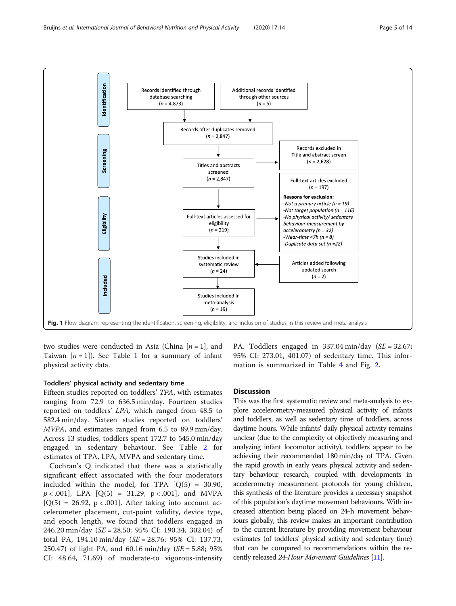<span id="page-4-0"></span>

two studies were conducted in Asia (China  $[n=1]$ , and Taiwan  $[n = 1]$  $[n = 1]$  $[n = 1]$ ). See Table 1 for a summary of infant physical activity data.

#### Toddlers' physical activity and sedentary time

Fifteen studies reported on toddlers' TPA, with estimates ranging from 72.9 to 636.5 min/day. Fourteen studies reported on toddlers' LPA, which ranged from 48.5 to 582.4 min/day. Sixteen studies reported on toddlers' MVPA, and estimates ranged from 6.5 to 89.9 min/day. Across 13 studies, toddlers spent 172.7 to 545.0 min/day engaged in sedentary behaviour. See Table [2](#page-6-0) for estimates of TPA, LPA, MVPA and sedentary time.

Cochran's Q indicated that there was a statistically significant effect associated with the four moderators included within the model, for TPA  $[Q(5) = 30.90,$  $p < .001$ , LPA  $[Q(5) = 31.29, p < .001]$ , and MVPA  $[Q(5) = 26.92, p < .001]$ . After taking into account accelerometer placement, cut-point validity, device type, and epoch length, we found that toddlers engaged in 246.20 min/day (SE = 28.50; 95% CI: 190.34, 302.04) of total PA, 194.10 min/day (SE = 28.76; 95% CI: 137.73, 250.47) of light PA, and 60.16 min/day ( $SE = 5.88$ ; 95% CI: 48.64, 71.69) of moderate-to vigorous-intensity

PA. Toddlers engaged in  $337.04 \text{ min/day}$  (SE = 32.67; 95% CI: 273.01, 401.07) of sedentary time. This information is summarized in Table [4](#page-8-0) and Fig. [2.](#page-9-0)

#### **Discussion**

This was the first systematic review and meta-analysis to explore accelerometry-measured physical activity of infants and toddlers, as well as sedentary time of toddlers, across daytime hours. While infants' daily physical activity remains unclear (due to the complexity of objectively measuring and analyzing infant locomotor activity), toddlers appear to be achieving their recommended 180 min/day of TPA. Given the rapid growth in early years physical activity and sedentary behaviour research, coupled with developments in accelerometry measurement protocols for young children, this synthesis of the literature provides a necessary snapshot of this population's daytime movement behaviours. With increased attention being placed on 24-h movement behaviours globally, this review makes an important contribution to the current literature by providing movement behaviour estimates (of toddlers' physical activity and sedentary time) that can be compared to recommendations within the recently released 24-Hour Movement Guidelines [[11](#page-12-0)].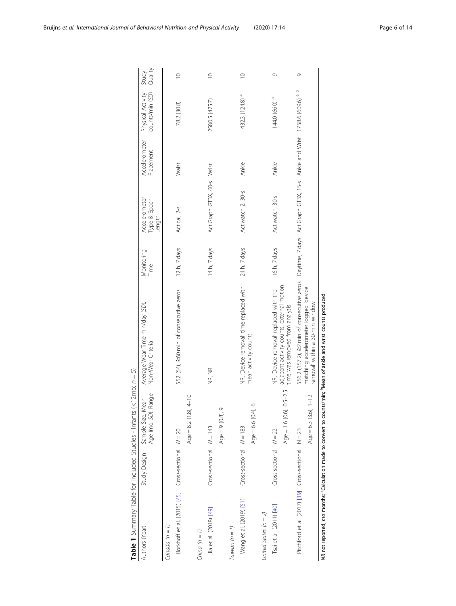<span id="page-5-0"></span>

| Authors (Year)                                      | Study Design               | Age (mo; SD), Range<br>Sample Size, Mean | Average Wear-Time min/day (SD),<br>Non-Wear Criteria                        | Monitoring<br>Time | Accelerometer<br>Type & Epoch<br>Length                                         | Accelerometer<br>Placement | Physical Activity<br>counts/min (SD) | Quality<br>Study |
|-----------------------------------------------------|----------------------------|------------------------------------------|-----------------------------------------------------------------------------|--------------------|---------------------------------------------------------------------------------|----------------------------|--------------------------------------|------------------|
| Canada $(n = 1)$                                    |                            |                                          |                                                                             |                    |                                                                                 |                            |                                      |                  |
| Borkhoff et al. (2015) [45] Cross-sectional N = 20  |                            |                                          | 552 (54), 260 min of consecutive zeros                                      | 12h, 7 days        | Actical, 2-s                                                                    | Waist                      | 78.2 (30.8)                          | $\supseteq$      |
|                                                     |                            | Age = $8.2(1.8), 4-10$                   |                                                                             |                    |                                                                                 |                            |                                      |                  |
| China $(n = 1)$                                     |                            |                                          |                                                                             |                    |                                                                                 |                            |                                      |                  |
| Jia et al. (2018) [49]                              | $Cross-sectional W = 143$  |                                          | NR, NR                                                                      | 14h, 7 days        | ActiGraph GT3X, 60-s Wrist                                                      |                            | 2580.5 (475.7)                       | $\supseteq$      |
|                                                     |                            | $\circ$<br>Age = $9(0.8)$                |                                                                             |                    |                                                                                 |                            |                                      |                  |
| Taiwan $(n = 1)$                                    |                            |                                          |                                                                             |                    |                                                                                 |                            |                                      |                  |
| Wang et al. (2019) [51]                             | $Cross-sectional N = 183$  |                                          | NR, 'Device removal' time replaced with                                     | 24 h, 7 days       | Actiwatch 2, 30-s                                                               | Ankle                      | 432.3 (124.8) <sup>a</sup>           | $\supseteq$      |
|                                                     |                            | $\circ$<br>Age = $6.6(0.4)$              | mean activity counts                                                        |                    |                                                                                 |                            |                                      |                  |
| United States $(n = 2)$                             |                            |                                          |                                                                             |                    |                                                                                 |                            |                                      |                  |
| Tsai et al. (2011) [40]                             | $Cross-sectional$ $N = 22$ |                                          | NR, 'Device removal' replaced with the                                      | 16h, 7 days        | Actiwatch, 30-s                                                                 | Ankle                      | 144.0 (66.0) <sup>a</sup>            | Ò                |
|                                                     |                            | Age = $1.6(0.6), 0.5-2.5$                | adjacent activity counts, external motion<br>time was removed from analysis |                    |                                                                                 |                            |                                      |                  |
| Pitchford et al. (2017) [39] Cross-sectional N = 23 |                            |                                          | 556.2 (157.2), 22 min of consecutive zeros                                  |                    | Daytime, 7 days ActiGraph GT3X, 15-s Ankle and Wrist 17586 (609.6) <sup>a</sup> |                            | $\circ$                              | Ò                |
|                                                     |                            | Age = 6.3 $(3.6)$ , 1-12                 | matching accelerometer logged 'device<br>removal' within a 30-min window    |                    |                                                                                 |                            |                                      |                  |
|                                                     |                            |                                          |                                                                             |                    |                                                                                 |                            |                                      |                  |

**Table 1** Summary Table for Included Studies - Infants  $\langle$ <12mo;  $n = 5$ )<br>Authors (Year)<br>Authors (Year) **Table 1** Summary Table for Included Studies - Infants (<12mo;  $n = 5$ )

MR not reported, mo months; <sup>a</sup>Calculation made to convert to counts/min; <sup>b</sup>Mean of ankle and wrist counts produced NR not reported, mo months; aCalculation made to convert to counts/min; bMean of ankle and wrist counts produced

Ĵ.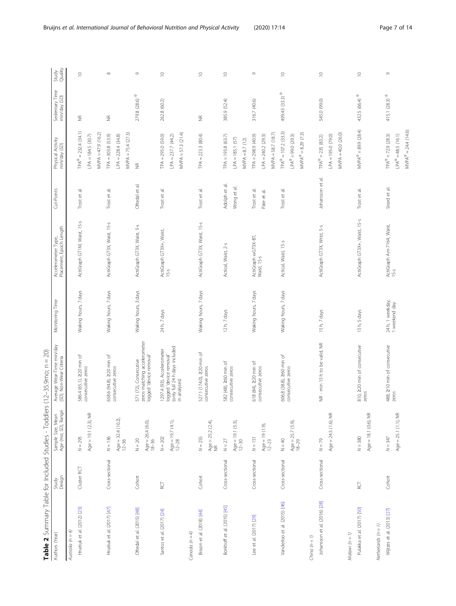<span id="page-6-0"></span>

| Table 2 Summary Table for Included Studies - Toddler |                 |                                           | $(12 - 35.9$ mo; $n = 20$ )<br>S                                                 |                      |                                                |                                |                                                     |                                       |                  |
|------------------------------------------------------|-----------------|-------------------------------------------|----------------------------------------------------------------------------------|----------------------|------------------------------------------------|--------------------------------|-----------------------------------------------------|---------------------------------------|------------------|
| Authors (Year)                                       | Design<br>Study | Age (mo; SD), Range<br>Sample Size, Mean  | Average Wear-Time min/day<br>(SD), Non-Wear Criteria                             | Monitoring Time      | Placement, Epoch Length<br>Accelerometer Type, | Cut-Points                     | Physical Activity<br>min/day (SD)                   | Sedentary Time<br>min/day (SD)        | Study<br>Quality |
| Australia ( $n = 4$ )                                |                 |                                           |                                                                                  |                      |                                                |                                |                                                     |                                       |                  |
| Hnatiuk et al. (2012) [23]                           | Cluster RCT     | Age = 19.1 (2.3), NR<br>$N = 295$         | 586.4 (65.1), 220 min of<br>consecutive zeros                                    | Waking hours, 7 days | ActiGraph GT1M, Waist, 15-s                    | Trost et al.                   | $TPA^{\Phi} = 232.4$ (34.1)<br>$LPA = 184.5 (30.7)$ | €                                     | $\supseteq$      |
|                                                      |                 |                                           |                                                                                  |                      |                                                |                                | $MVPA = 47.9(16.2)$                                 |                                       |                  |
| Hnatiuk et al. (2017) [47]                           | Cross-sectional | $N = 136$                                 | 658.6 (94.8), 220 min of<br>consecutive zeros                                    | Waking hours, 7 days | ActiGraph GT3X, Waist, 15-s                    | Trost et al.                   | $TPA = 303.8$ (53.9)                                | $\widetilde{\Xi}$                     | $\infty$         |
|                                                      |                 | $Age = 32.4 (10.2)$<br>$12 - 36$          |                                                                                  |                      |                                                |                                | $LPA = 228.4 (34.8)$                                |                                       |                  |
|                                                      |                 |                                           |                                                                                  |                      |                                                |                                | MVPA = 75.4 (27.3)                                  |                                       |                  |
| Oftedal et al. (2015) [48]                           | Cohort          | $Age = 26.4(6.0),$<br>$18-36$<br>$N = 20$ | zeros matching accelerometer<br>logged 'device removal'<br>571 (72), Consecutive | Waking hours, 3 days | ActiGraph GT3X, Waist, 5-s                     | Oftedal et al.                 | $\frac{\alpha}{2}$                                  | $279.8$ (28.6) $^\oplus$              | Ò                |
| Santos et al. (2017) [24]                            | <b>RCT</b>      | $N = 202$                                 | 1297.4 (93), Accelerometer                                                       | 24 h, 7 days         | ActiGraph GT3X+, Waist,                        | Trost et al.                   | $TPA = 295.0 (59.0)$                                | 262.8 (60.2)                          | $\supseteq$      |
|                                                      |                 | $Age = 19.7 (4.1),$<br>$12-28$            | (only full 24 h days included<br>logged 'device removal'<br>in analyses)         |                      | $15 - 5$                                       |                                | $MVPA = 57.3 (21.4)$<br>$LPA = 237.7 (44.2)$        |                                       |                  |
| Canada $(n = 4)$                                     |                 |                                           |                                                                                  |                      |                                                |                                |                                                     |                                       |                  |
| Bisson et al. (2018) [44]                            | Cohort          | $N = 255$                                 | 527.1 (174.0), 220 min of                                                        | Waking hours, 7 days | ActiGraph GT3X, Waist, 15-s                    | Trost et al.                   | $TPA = 223.3(80.4)$                                 | $\frac{\alpha}{2}$                    | $\supseteq$      |
|                                                      |                 | $Age = 25.2 (2.4),$<br>NR                 | consecutive zeros                                                                |                      |                                                |                                |                                                     |                                       |                  |
| Borkhoff et al. (2015) [45]                          | Cross-sectional | $N=27$                                    | 582 (48), 260 min of                                                             | 12 h, 7 days         | Actical, Waist, 2-s                            | Adolph et al.                  | $TPA = 193.8 (63.7)$                                | 385.9 (52.4)                          | $\supseteq$      |
|                                                      |                 | $Age = 19.1 (5.3),$<br>$12-30$            | consecutive zeros                                                                |                      |                                                | Wong et al.                    | $LPA = 185.1 (57)$                                  |                                       |                  |
|                                                      |                 |                                           |                                                                                  |                      |                                                |                                | $MVPA = 8.7(12)$                                    |                                       |                  |
| Lee et al. (2017) [29]                               | Cross-sectional | $N = 151$                                 | 618 (84), 220 min of                                                             | Waking hours, 7 days | ActiGraph wGT3X-BT,                            | Trost et al                    | $TPA = 298.9(40.9)$                                 | 316.7 (40.6)                          | G                |
|                                                      |                 | $Age = 19 (1.9),$<br>$12-23$              | consecutive zeros                                                                |                      | Waist, 15-s                                    | $\overline{\sigma}$<br>Pate et | $LPA = 240.2 (29.3)$                                |                                       |                  |
|                                                      |                 |                                           |                                                                                  |                      |                                                |                                | MVPA = 58.7 (18.7)                                  |                                       |                  |
| Vanderloo et al. (2015) [46]                         | Cross-sectional | $N = 40$                                  | 606.8 (38.8), ≥60 min of                                                         | Waking hours, 7 days | Actical, Waist, 15-s                           | Trost et al                    | $TPA^{\Phi} = 107.2$ (33.3)                         | 499.43 (33.3) <sup><sup>0</sup></sup> | $\supseteq$      |
|                                                      |                 | $Age = 25.7 (5.9),$<br>$18-29$            | consecutive zeros                                                                |                      |                                                |                                | $LPA^{\Phi} = 99.0(29.3)$                           |                                       |                  |
|                                                      |                 |                                           |                                                                                  |                      |                                                |                                | $MVPA^{\Phi} = 8.29$ (7.3)                          |                                       |                  |
| China $(n = 1)$                                      |                 |                                           |                                                                                  |                      |                                                |                                |                                                     |                                       |                  |
| Johansson et al. (2016) [28]                         | Cross-sectional | $N = 79$                                  | NR - min 15 h to be valid, NR                                                    | 15 h, 7 days         | ActiGraph GT3X, Wrist, 5-s                     | Johansson et al.               | $TPA^{\Phi} = 235 (83.2)$                           | 545.0 (99.0)                          | $\supseteq$      |
|                                                      |                 | Age = 24.5 (1.6), NR                      |                                                                                  |                      |                                                |                                | $LPA = 195.0 (79.0)$                                |                                       |                  |
|                                                      |                 |                                           |                                                                                  |                      |                                                |                                | MVPA = 40.0 (26.0)                                  |                                       |                  |
| $M$ alawi $(n = 1)$                                  |                 |                                           |                                                                                  |                      |                                                |                                |                                                     |                                       |                  |
| Pulakka et al. (2017) [50]                           | <b>RCT</b>      | $N = 380$                                 | 810, 220 min of consecutive<br>zeros                                             | 15 h, 5 days         | ActiGraph GT3X+, Waist, 15-s                   | Trost et al.                   | $MVPA^{0} = 89.9 (28.4)$                            | 432.5 (66.4) <sup>Ф</sup>             | $\supseteq$      |
|                                                      |                 | Age = 18.1 (0.6), NR                      |                                                                                  |                      |                                                |                                |                                                     |                                       |                  |
| Netherlands $(n = 1)$                                |                 |                                           |                                                                                  |                      |                                                |                                |                                                     |                                       |                  |
| Wijtzes et al. (2013) [27]                           | Cohort          | $N = 347$                                 | 488, 210 min of consecutive                                                      | 24 h, 1 weekday,     | ActiGraph Am-7164, Waist,                      | Sirard et al.                  | $TPA^{0} = 72.9(28.3)$                              | 415.1 (28.3) $^{\oplus}$              | Ò                |
|                                                      |                 | Age = 25.1 (1.1), NR                      | zeros                                                                            | 1 weekend day        | $15 - 5$                                       |                                | $LPA^{\oplus} = 48.5$ (16.1)                        |                                       |                  |

 $MVPA^{\oplus} = 24.4$  (14.6)

 $MVPA^{\oplus} = 24.4 (14.6)$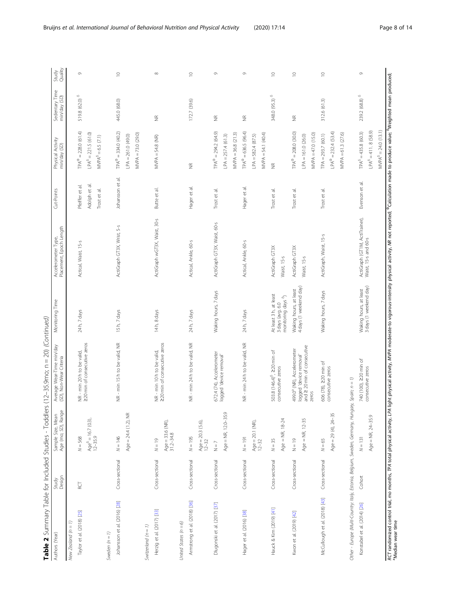| Cross-sectional<br>Cross-sectional<br>RСТ<br>Johansson et al. (2016) [28]<br>Herzig et al. (2017) [33]<br>Taylor et al. (2018) [25]<br>New Zealand $(n = 1)$<br>United States $(n = 6)$<br>Switzerland $(n = 1)$<br>Sweden $(n = 1)$ | $N = 568$                           | (SD), Non-Wear Criteria                                         |                                                                             | Placement, Epoch Length<br>Accelerometer Type,         | Cut-Points                                                          | Physical Activity<br>min/day (SD)                                          | Sedentary Time<br>min/day (SD) | Study<br>Quality |
|--------------------------------------------------------------------------------------------------------------------------------------------------------------------------------------------------------------------------------------|-------------------------------------|-----------------------------------------------------------------|-----------------------------------------------------------------------------|--------------------------------------------------------|---------------------------------------------------------------------|----------------------------------------------------------------------------|--------------------------------|------------------|
|                                                                                                                                                                                                                                      |                                     |                                                                 |                                                                             |                                                        |                                                                     |                                                                            |                                |                  |
|                                                                                                                                                                                                                                      | $Age^6 = 16.7$ (0.3),<br>12-35.9    | NR - min 20 h to be valid,<br>220 min of consecutive zeros      | 24 h, 7 days                                                                | Actical, Waist, 15-s                                   | $\overline{\sigma}$<br>Pfeiffer et al.<br>Adolph et<br>Trost et al. | $TPA^{\Phi} = 228.0(61.4)$<br>$LPA^6 = 221.5(61.0)$<br>$MVPA6 = 6.5 (7.1)$ | $519.8(62.0)$ <sup>5</sup>     | Ò                |
|                                                                                                                                                                                                                                      |                                     |                                                                 |                                                                             |                                                        |                                                                     |                                                                            |                                |                  |
|                                                                                                                                                                                                                                      | Age = $24.4$ (1.2), NR<br>$N = 146$ | NR - min 15 h to be valid, NR                                   | 15h, 7 days                                                                 | ActiGraph GT3X, Wrist, 5-s                             | Johansson et al.                                                    | $TPA^{\oplus} = 334.0$ (40.2)<br>$LPA = 261.0 (49.0)$                      | 445.0 (68.0)                   | $\supseteq$      |
|                                                                                                                                                                                                                                      |                                     |                                                                 |                                                                             |                                                        |                                                                     | MVPA = 73.0 (29.0)                                                         |                                |                  |
|                                                                                                                                                                                                                                      | $N = 19$                            | NR - min 10 h to be valid,                                      | 14h, 8 days                                                                 | ActiGraph wGT3X, Waist, 30-s                           | Butte et al.                                                        | $MVPA = 54.8$ (NR)                                                         | $\widetilde{\Xi}$              | $\infty$         |
|                                                                                                                                                                                                                                      | $Age = 33.6$ (NR),<br>$31.2 - 34.8$ | 220 min of consecutive zeros                                    |                                                                             |                                                        |                                                                     |                                                                            |                                |                  |
|                                                                                                                                                                                                                                      |                                     |                                                                 |                                                                             |                                                        |                                                                     |                                                                            |                                |                  |
| Cross-sectional<br>Armstrong et al. (2018) [36]                                                                                                                                                                                      | $N = 195$                           | NR - min 24 h to be valid, NR                                   | 24 h, 7 days                                                                | Actical, Ankle, 60-s                                   | Hager et al.                                                        | $\widetilde{\Xi}$                                                          | 172.7 (39.6)                   | $\supseteq$      |
|                                                                                                                                                                                                                                      | $Age = 20.3 (5.6)$<br>$12 - 32$     |                                                                 |                                                                             |                                                        |                                                                     |                                                                            |                                |                  |
| Cross-sectional<br>Dlugonski et al. (2017) [37]                                                                                                                                                                                      | $\overline{z}$                      | 672.4 (74), Accelerometer<br>logged 'device removal'            | Waking hours, 7 days                                                        | ActiGraph GT3X, Waist, 60-s                            | Trost et al.                                                        | $TPA^{\Phi} = 294.2$ (64.9)                                                | $\frac{\alpha}{2}$             | $\circ$          |
|                                                                                                                                                                                                                                      | $Age = NR, 12.0 - 35.9$             |                                                                 |                                                                             |                                                        |                                                                     | $LPA = 257.4(61.3)$                                                        |                                |                  |
|                                                                                                                                                                                                                                      |                                     |                                                                 |                                                                             |                                                        |                                                                     | $MVPA = 36.8 (21.3)$                                                       |                                |                  |
| Cross-sectional<br>Hager et al. (2016) [38]                                                                                                                                                                                          | $N = 191$                           | NR - min 24 h to be valid, NR                                   | 24 h, 7 days                                                                | Actical, Ankle, 60-s                                   | Hager et al.                                                        | $TPA^{\Phi} = 636.5 (96.4)$                                                | $\widetilde{\Xi}$              | $\circ$          |
|                                                                                                                                                                                                                                      | $Age = 20.1 (NR),$<br>$12-32$       |                                                                 |                                                                             |                                                        |                                                                     | $LPA = 582.4 (87.5)$                                                       |                                |                  |
|                                                                                                                                                                                                                                      |                                     |                                                                 |                                                                             |                                                        |                                                                     | MVPA = 54.1 (40.4)                                                         |                                |                  |
| Cross-sectional<br>Hauck & Kim (2019) [41]                                                                                                                                                                                           | Age = NR, 18-24<br>$N = 35$         | 503.8 (146.4) <sup>6</sup> , 220 min of<br>consecutive zeros    | At least 3h, at least<br>monitoring days <sup>6</sup> )<br>3 days (avg. 6.0 | ActiGraph GT3X<br>Waist, 15-s                          | Trost et al                                                         | $\widetilde{\Xi}$                                                          | 348.0 (95.3) <sup>6</sup>      | $\supseteq$      |
| Cross-sectional<br>Kwon et al. (2019) [42]                                                                                                                                                                                           | $N = 19$                            | 499.0 <sup>ª</sup> (NR), Accelerometer                          | Waking hours, at least                                                      | ActiGraph GT3X                                         | Trost et al.                                                        | $TPA^{\Phi} = 208.0$ (30.0)                                                | $\widetilde{\Xi}$              | $\supseteq$      |
|                                                                                                                                                                                                                                      | Age = $NR, 12-35$                   | logged 'device removal'<br>and 2 20 min of consecutive<br>zeros | 4 days (1 weekend day)                                                      | Waist, 15-s                                            |                                                                     | $MVPA = 47.0(15.0)$<br>$LPA = 161.0 (26.0)$                                |                                |                  |
| Cross-sectional<br>McCullough et al. (2018) [43]                                                                                                                                                                                     | Age = 29 (4), $24-35$<br>$N = 65$   | 606 (78), 220 min of<br>consecutive zeros                       | Waking hours, 7 days                                                        | ActiGraph, Waist, 15-s                                 | Trost et al.                                                        | $LPA^{\oplus} = 232.4$ (53.4)<br>$TPA = 293.7(60.1)$                       | 312.6(61.3)                    | $\supseteq$      |
|                                                                                                                                                                                                                                      |                                     |                                                                 |                                                                             |                                                        |                                                                     | $MVPA = 61.3 (27.6)$                                                       |                                |                  |
| Other - Europe (Multi-Country: Italy, Estonia, Belgium, Sweden, Germany, Hungary, Spain; n = 1)                                                                                                                                      |                                     |                                                                 |                                                                             |                                                        |                                                                     |                                                                            |                                |                  |
| Cohort<br>Konstabel et al. (2014) [26]                                                                                                                                                                                               | Age = NR, 24-35.9<br>$N = 131$      | 740 (100), 220 min of<br>consecutive zeros                      | 3 days (1 weekend day)<br>Waking hours, at least                            | ActiGraph (GT1M, ActiTrainer),<br>Waist, 15-s and 60-s | Evenson et al.                                                      | $LPA^6 = 411.8(58.9)$<br>$TPA^6 = 435.8$ (60.3)                            | 239.2 (68.8) $^{\rm 6}$        | $\circ$          |
|                                                                                                                                                                                                                                      |                                     |                                                                 |                                                                             |                                                        |                                                                     | $MVPA^6 = 24.0 (13.1)$                                                     |                                |                  |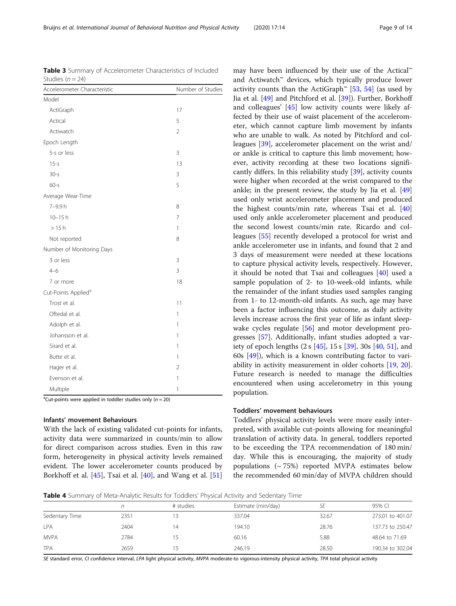<sup>a</sup>Cut-points were applied in toddler studies only  $(n = 20)$ 

#### Infants' movement Behaviours

With the lack of existing validated cut-points for infants, activity data were summarized in counts/min to allow for direct comparison across studies. Even in this raw form, heterogeneity in physical activity levels remained evident. The lower accelerometer counts produced by Borkhoff et al. [[45\]](#page-13-0), Tsai et al. [\[40\]](#page-13-0), and Wang et al. [[51](#page-13-0)] activity counts than the ActiGraph<sup>™</sup> [\[53](#page-13-0), [54](#page-13-0)] (as used by Jia et al. [[49\]](#page-13-0) and Pitchford et al. [\[39](#page-13-0)]). Further, Borkhoff and colleagues' [[45](#page-13-0)] low activity counts were likely affected by their use of waist placement of the accelerometer, which cannot capture limb movement by infants who are unable to walk. As noted by Pitchford and colleagues [[39\]](#page-13-0), accelerometer placement on the wrist and/ or ankle is critical to capture this limb movement; however, activity recording at these two locations significantly differs. In this reliability study [\[39\]](#page-13-0), activity counts were higher when recorded at the wrist compared to the ankle; in the present review, the study by Jia et al. [[49](#page-13-0)] used only wrist accelerometer placement and produced the highest counts/min rate, whereas Tsai et al. [[40](#page-13-0)] used only ankle accelerometer placement and produced the second lowest counts/min rate. Ricardo and colleagues [\[55\]](#page-13-0) recently developed a protocol for wrist and ankle accelerometer use in infants, and found that 2 and 3 days of measurement were needed at these locations to capture physical activity levels, respectively. However, it should be noted that Tsai and colleagues [[40\]](#page-13-0) used a sample population of 2- to 10-week-old infants, while the remainder of the infant studies used samples ranging from 1- to 12-month-old infants. As such, age may have been a factor influencing this outcome, as daily activity levels increase across the first year of life as infant sleep-wake cycles regulate [[56\]](#page-13-0) and motor development progresses [[57](#page-13-0)]. Additionally, infant studies adopted a variety of epoch lengths (2 s [[45\]](#page-13-0), 15 s [[39](#page-13-0)], 30s [[40](#page-13-0), [51](#page-13-0)], and 60s [\[49](#page-13-0)]), which is a known contributing factor to variability in activity measurement in older cohorts [\[19,](#page-12-0) [20](#page-12-0)]. Future research is needed to manage the difficulties encountered when using accelerometry in this young population.

may have been influenced by their use of the Actical™ and Actiwatch™ devices, which typically produce lower

#### Toddlers' movement behaviours

Toddlers' physical activity levels were more easily interpreted, with available cut-points allowing for meaningful translation of activity data. In general, toddlers reported to be exceeding the TPA recommendation of 180 min/ day. While this is encouraging, the majority of study populations  $({\sim}75%)$  reported MVPA estimates below the recommended 60 min/day of MVPA children should



|                | n    | # studies | Estimate (min/day) | SE    | 95% CI           |
|----------------|------|-----------|--------------------|-------|------------------|
| Sedentary Time | 2351 |           | 337.04             | 32.67 | 273.01 to 401.07 |
| <b>LPA</b>     | 2404 |           | 194.10             | 28.76 | 137.73 to 250.47 |
| <b>MVPA</b>    | 2784 |           | 60.16              | 5.88  | 48.64 to 71.69   |
| <b>TPA</b>     | 2659 |           | 246.19             | 28.50 | 190.34 to 302.04 |

SE standard error, CI confidence interval, LPA light physical activity, MVPA moderate-to vigorous-intensity physical activity, TPA total physical activity

<span id="page-8-0"></span>Table 3 Summary of Accelerometer Characteristics of Included  $Studice (n - 24)$ 

| Accelerometer Characteristic    | Number of Studies |
|---------------------------------|-------------------|
| Model                           |                   |
| ActiGraph                       | 17                |
| Actical                         | 5                 |
| Actiwatch                       | $\overline{2}$    |
| Epoch Length                    |                   |
| 5-s or less                     | 3                 |
| $15 - s$                        | 13                |
| $30 - s$                        | 3                 |
| $60 - s$                        | 5                 |
| Average Wear-Time               |                   |
| 7-9.9h                          | 8                 |
| $10 - 15h$                      | $\overline{7}$    |
| >15h                            | 1                 |
| Not reported                    | 8                 |
| Number of Monitoring Days       |                   |
| 3 or less                       | 3                 |
| $4 - 6$                         | 3                 |
| 7 or more                       | 18                |
| Cut-Points Applied <sup>a</sup> |                   |
| Trost et al.                    | 11                |
| Oftedal et al.                  | 1                 |
| Adolph et al.                   | 1                 |
| Johansson et al.                | 1                 |
| Sirard et al.                   | 1                 |
| Butte et al.                    | 1                 |
| Hager et al.                    | $\overline{2}$    |
| Evenson et al.                  | 1                 |
| Multiple                        | 1                 |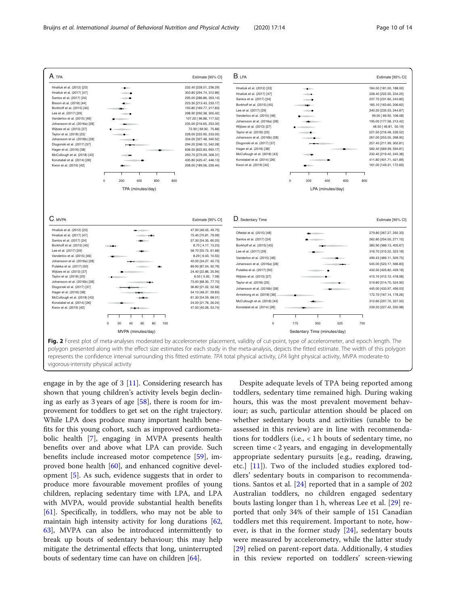<span id="page-9-0"></span>

engage in by the age of  $3 \vert 11$ . Considering research has shown that young children's activity levels begin declining as early as 3 years of age [\[58](#page-13-0)], there is room for improvement for toddlers to get set on the right trajectory. While LPA does produce many important health benefits for this young cohort, such as improved cardiometabolic health [\[7](#page-12-0)], engaging in MVPA presents health benefits over and above what LPA can provide. Such benefits include increased motor competence [[59](#page-13-0)], improved bone health [[60](#page-13-0)], and enhanced cognitive development [\[5](#page-12-0)]. As such, evidence suggests that in order to produce more favourable movement profiles of young children, replacing sedentary time with LPA, and LPA with MVPA, would provide substantial health benefits [[61\]](#page-13-0). Specifically, in toddlers, who may not be able to maintain high intensity activity for long durations [[62](#page-13-0), [63\]](#page-13-0), MVPA can also be introduced intermittently to break up bouts of sedentary behaviour; this may help mitigate the detrimental effects that long, uninterrupted bouts of sedentary time can have on children [[64\]](#page-13-0).

Despite adequate levels of TPA being reported among toddlers, sedentary time remained high. During waking hours, this was the most prevalent movement behaviour; as such, particular attention should be placed on whether sedentary bouts and activities (unable to be assessed in this review) are in line with recommendations for toddlers (i.e., < 1 h bouts of sedentary time, no screen time < 2 years, and engaging in developmentally appropriate sedentary pursuits [e.g., reading, drawing, etc.]  $[11]$  $[11]$ ). Two of the included studies explored toddlers' sedentary bouts in comparison to recommendations. Santos et al. [\[24](#page-12-0)] reported that in a sample of 202 Australian toddlers, no children engaged sedentary bouts lasting longer than 1 h, whereas Lee et al. [\[29](#page-13-0)] reported that only 34% of their sample of 151 Canadian toddlers met this requirement. Important to note, however, is that in the former study  $[24]$  $[24]$  $[24]$ , sedentary bouts were measured by accelerometry, while the latter study [[29\]](#page-13-0) relied on parent-report data. Additionally, 4 studies in this review reported on toddlers' screen-viewing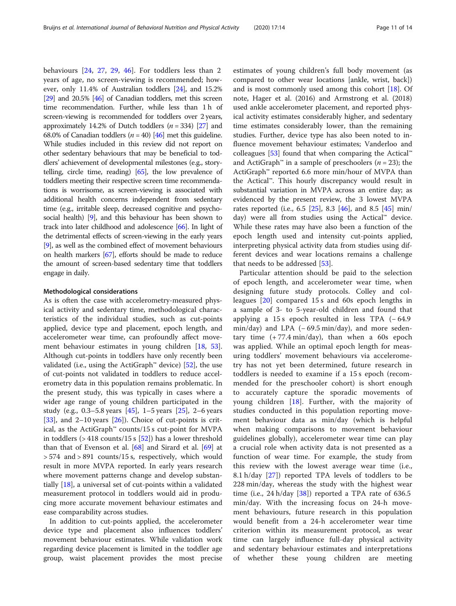behaviours [[24](#page-12-0), [27](#page-12-0), [29](#page-13-0), [46\]](#page-13-0). For toddlers less than 2 years of age, no screen-viewing is recommended; however, only 11.4% of Australian toddlers [[24](#page-12-0)], and 15.2% [[29](#page-13-0)] and 20.5% [\[46\]](#page-13-0) of Canadian toddlers, met this screen time recommendation. Further, while less than 1 h of screen-viewing is recommended for toddlers over 2 years, approximately 14.2% of Dutch toddlers  $(n = 334)$  [[27](#page-12-0)] and 68.0% of Canadian toddlers ( $n = 40$ ) [[46](#page-13-0)] met this guideline. While studies included in this review did not report on other sedentary behaviours that may be beneficial to toddlers' achievement of developmental milestones (e.g., storytelling, circle time, reading) [\[65\]](#page-13-0), the low prevalence of toddlers meeting their respective screen time recommendations is worrisome, as screen-viewing is associated with additional health concerns independent from sedentary time (e.g., irritable sleep, decreased cognitive and psychosocial health) [\[9](#page-12-0)], and this behaviour has been shown to track into later childhood and adolescence [\[66\]](#page-13-0). In light of the detrimental effects of screen-viewing in the early years [[9](#page-12-0)], as well as the combined effect of movement behaviours on health markers [\[67\]](#page-13-0), efforts should be made to reduce the amount of screen-based sedentary time that toddlers engage in daily.

#### Methodological considerations

As is often the case with accelerometry-measured physical activity and sedentary time, methodological characteristics of the individual studies, such as cut-points applied, device type and placement, epoch length, and accelerometer wear time, can profoundly affect movement behaviour estimates in young children [\[18,](#page-12-0) [53](#page-13-0)]. Although cut-points in toddlers have only recently been validated (i.e., using the ActiGraph™ device) [[52\]](#page-13-0), the use of cut-points not validated in toddlers to reduce accelerometry data in this population remains problematic. In the present study, this was typically in cases where a wider age range of young children participated in the study (e.g., 0.3–5.8 years  $[45]$  $[45]$  $[45]$ , 1–5 years  $[25]$  $[25]$ , 2–6 years [[33\]](#page-13-0), and  $2-10$  years  $[26]$  $[26]$ ). Choice of cut-points is critical, as the ActiGraph™ counts/15 s cut-point for MVPA in toddlers ( $>$  418 counts/15 s [[52\]](#page-13-0)) has a lower threshold than that of Evenson et al. [\[68](#page-13-0)] and Sirard et al. [\[69](#page-13-0)] at > 574 and > 891 counts/15 s, respectively, which would result in more MVPA reported. In early years research where movement patterns change and develop substantially [[18](#page-12-0)], a universal set of cut-points within a validated measurement protocol in toddlers would aid in producing more accurate movement behaviour estimates and ease comparability across studies.

In addition to cut-points applied, the accelerometer device type and placement also influences toddlers' movement behaviour estimates. While validation work regarding device placement is limited in the toddler age group, waist placement provides the most precise estimates of young children's full body movement (as compared to other wear locations [ankle, wrist, back]) and is most commonly used among this cohort [\[18](#page-12-0)]. Of note, Hager et al. (2016) and Armstrong et al. (2018) used ankle accelerometer placement, and reported physical activity estimates considerably higher, and sedentary time estimates considerably lower, than the remaining studies. Further, device type has also been noted to influence movement behaviour estimates; Vanderloo and colleagues [\[53\]](#page-13-0) found that when comparing the Actical™ and ActiGraph<sup>™</sup> in a sample of preschoolers ( $n = 23$ ); the ActiGraph™ reported 6.6 more min/hour of MVPA than the Actical™. This hourly discrepancy would result in substantial variation in MVPA across an entire day; as evidenced by the present review, the 3 lowest MVPA rates reported (i.e., 6.5 [[25](#page-12-0)], 8.3 [[46\]](#page-13-0), and 8.5 [[45\]](#page-13-0) min/ day) were all from studies using the Actical™ device. While these rates may have also been a function of the epoch length used and intensity cut-points applied, interpreting physical activity data from studies using different devices and wear locations remains a challenge that needs to be addressed [[53\]](#page-13-0).

Particular attention should be paid to the selection of epoch length, and accelerometer wear time, when designing future study protocols. Colley and colleagues [[20\]](#page-12-0) compared 15 s and 60s epoch lengths in a sample of 3- to 5-year-old children and found that applying a 15 s epoch resulted in less TPA  $(-64.9)$ min/day) and LPA (−69.5 min/day), and more sedentary time  $(+77.4 \text{ min/day})$ , than when a 60s epoch was applied. While an optimal epoch length for measuring toddlers' movement behaviours via accelerometry has not yet been determined, future research in toddlers is needed to examine if a 15 s epoch (recommended for the preschooler cohort) is short enough to accurately capture the sporadic movements of young children [\[18](#page-12-0)]. Further, with the majority of studies conducted in this population reporting movement behaviour data as min/day (which is helpful when making comparisons to movement behaviour guidelines globally), accelerometer wear time can play a crucial role when activity data is not presented as a function of wear time. For example, the study from this review with the lowest average wear time (i.e., 8.1 h/day [\[27](#page-12-0)]) reported TPA levels of toddlers to be 228 min/day, whereas the study with the highest wear time (i.e.,  $24 h/day$   $[38]$  $[38]$ ) reported a TPA rate of 636.5 min/day. With the increasing focus on 24-h movement behaviours, future research in this population would benefit from a 24-h accelerometer wear time criterion within its measurement protocol, as wear time can largely influence full-day physical activity and sedentary behaviour estimates and interpretations of whether these young children are meeting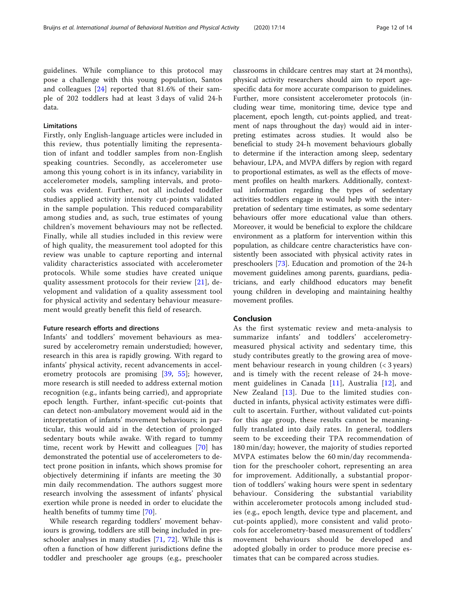guidelines. While compliance to this protocol may pose a challenge with this young population, Santos and colleagues [[24\]](#page-12-0) reported that 81.6% of their sample of 202 toddlers had at least 3 days of valid 24-h data.

#### Limitations

Firstly, only English-language articles were included in this review, thus potentially limiting the representation of infant and toddler samples from non-English speaking countries. Secondly, as accelerometer use among this young cohort is in its infancy, variability in accelerometer models, sampling intervals, and protocols was evident. Further, not all included toddler studies applied activity intensity cut-points validated in the sample population. This reduced comparability among studies and, as such, true estimates of young children's movement behaviours may not be reflected. Finally, while all studies included in this review were of high quality, the measurement tool adopted for this review was unable to capture reporting and internal validity characteristics associated with accelerometer protocols. While some studies have created unique quality assessment protocols for their review [\[21\]](#page-12-0), development and validation of a quality assessment tool for physical activity and sedentary behaviour measurement would greatly benefit this field of research.

#### Future research efforts and directions

Infants' and toddlers' movement behaviours as measured by accelerometry remain understudied; however, research in this area is rapidly growing. With regard to infants' physical activity, recent advancements in accelerometry protocols are promising [\[39](#page-13-0), [55](#page-13-0)]; however, more research is still needed to address external motion recognition (e.g., infants being carried), and appropriate epoch length. Further, infant-specific cut-points that can detect non-ambulatory movement would aid in the interpretation of infants' movement behaviours; in particular, this would aid in the detection of prolonged sedentary bouts while awake. With regard to tummy time, recent work by Hewitt and colleagues [[70\]](#page-13-0) has demonstrated the potential use of accelerometers to detect prone position in infants, which shows promise for objectively determining if infants are meeting the 30 min daily recommendation. The authors suggest more research involving the assessment of infants' physical exertion while prone is needed in order to elucidate the health benefits of tummy time [\[70](#page-13-0)].

While research regarding toddlers' movement behaviours is growing, toddlers are still being included in preschooler analyses in many studies [\[71](#page-13-0), [72\]](#page-13-0). While this is often a function of how different jurisdictions define the toddler and preschooler age groups (e.g., preschooler

classrooms in childcare centres may start at 24 months), physical activity researchers should aim to report agespecific data for more accurate comparison to guidelines. Further, more consistent accelerometer protocols (including wear time, monitoring time, device type and placement, epoch length, cut-points applied, and treatment of naps throughout the day) would aid in interpreting estimates across studies. It would also be beneficial to study 24-h movement behaviours globally to determine if the interaction among sleep, sedentary behaviour, LPA, and MVPA differs by region with regard to proportional estimates, as well as the effects of movement profiles on health markers. Additionally, contextual information regarding the types of sedentary activities toddlers engage in would help with the interpretation of sedentary time estimates, as some sedentary behaviours offer more educational value than others. Moreover, it would be beneficial to explore the childcare environment as a platform for intervention within this population, as childcare centre characteristics have consistently been associated with physical activity rates in preschoolers [[73\]](#page-13-0). Education and promotion of the 24-h movement guidelines among parents, guardians, pediatricians, and early childhood educators may benefit young children in developing and maintaining healthy movement profiles.

#### Conclusion

As the first systematic review and meta-analysis to summarize infants' and toddlers' accelerometrymeasured physical activity and sedentary time, this study contributes greatly to the growing area of movement behaviour research in young children (< 3 years) and is timely with the recent release of 24-h movement guidelines in Canada [[11\]](#page-12-0), Australia [[12](#page-12-0)], and New Zealand [[13](#page-12-0)]. Due to the limited studies conducted in infants, physical activity estimates were difficult to ascertain. Further, without validated cut-points for this age group, these results cannot be meaningfully translated into daily rates. In general, toddlers seem to be exceeding their TPA recommendation of 180 min/day; however, the majority of studies reported MVPA estimates below the 60 min/day recommendation for the preschooler cohort, representing an area for improvement. Additionally, a substantial proportion of toddlers' waking hours were spent in sedentary behaviour. Considering the substantial variability within accelerometer protocols among included studies (e.g., epoch length, device type and placement, and cut-points applied), more consistent and valid protocols for accelerometry-based measurement of toddlers' movement behaviours should be developed and adopted globally in order to produce more precise estimates that can be compared across studies.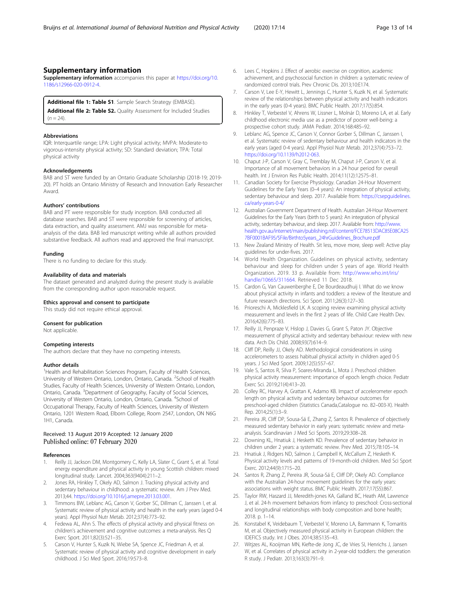<span id="page-12-0"></span>Supplementary information accompanies this paper at [https://doi.org/10.](https://doi.org/10.1186/s12966-020-0912-4) [1186/s12966-020-0912-4.](https://doi.org/10.1186/s12966-020-0912-4)

#### Additional file 1: Table S1. Sample Search Strategy (EMBASE).

Additional file 2: Table S2. Quality Assessment for Included Studies  $(n = 24)$ 

#### Abbreviations

IQR: Interquartile range; LPA: Light physical activity; MVPA: Moderate-to vigorous-intensity physical activity; SD: Standard deviation; TPA: Total physical activity

#### Acknowledgements

BAB and ST were funded by an Ontario Graduate Scholarship (2018-19; 2019- 20). PT holds an Ontario Ministry of Research and Innovation Early Researcher Award.

#### Authors' contributions

BAB and PT were responsible for study inception. BAB conducted all database searches. BAB and ST were responsible for screening of articles, data extraction, and quality assessment. AMJ was responsible for metaanalysis of the data. BAB led manuscript writing while all authors provided substantive feedback. All authors read and approved the final manuscript.

#### Funding

There is no funding to declare for this study.

#### Availability of data and materials

The dataset generated and analyzed during the present study is available from the corresponding author upon reasonable request.

#### Ethics approval and consent to participate

This study did not require ethical approval.

#### Consent for publication

Not applicable.

#### Competing interests

The authors declare that they have no competing interests.

#### Author details

<sup>1</sup> Health and Rehabilitation Sciences Program, Faculty of Health Sciences, University of Western Ontario, London, Ontario, Canada. <sup>2</sup>School of Health Studies, Faculty of Health Sciences, University of Western Ontario, London, Ontario, Canada. <sup>3</sup>Department of Geography, Faculty of Social Sciences, University of Western Ontario, London, Ontario, Canada. <sup>4</sup>School of Occupational Therapy, Faculty of Health Sciences, University of Western Ontario, 1201 Western Road, Elborn College, Room 2547, London, ON N6G 1H1, Canada.

#### Received: 13 August 2019 Accepted: 12 January 2020 Published online: 07 February 2020

#### References

- 1. Reilly JJ, Jackson DM, Montgomery C, Kelly LA, Slater C, Grant S, et al. Total energy expenditure and physical activity in young Scottish children: mixed longitudinal study. Lancet. 2004;363(9404):211–2.
- 2. Jones RA, Hinkley T, Okely AD, Salmon J. Tracking physical activity and sedentary behaviour in childhood: a systematic review. Am J Prev Med. 2013;44. [https://doi.org/10.1016/j.amepre.2013.03.001.](https://doi.org/10.1016/j.amepre.2013.03.001)
- 3. Timmons BW, Leblanc AG, Carson V, Gorber SC, Dillman C, Janssen I, et al. Systematic review of physical activity and health in the early years (aged 0-4 years). Appl Physiol Nutr Metab. 2012;37(4):773–92.
- 4. Fedewa AL, Ahn S. The effects of physical activity and physical fitness on children's achievement and cognitive outcomes: a meta-analysis. Res Q Exerc Sport. 2011;82(3):521–35.
- Carson V, Hunter S, Kuzik N, Wiebe SA, Spence JC, Friedman A, et al. Systematic review of physical activity and cognitive development in early childhood. J Sci Med Sport. 2016;19:573–8.
- 6. Lees C, Hopkins J. Effect of aerobic exercise on cognition, academic achievement, and psychosocial function in children: a systematic review of randomized control trials. Prev Chronic Dis. 2013;10:E174.
- 7. Carson V, Lee E-Y, Hewitt L, Jennings C, Hunter S, Kuzik N, et al. Systematic review of the relationships between physical activity and health indicators in the early years (0-4 years). BMC Public Health. 2017;17(5):854.
- 8. Hinkley T, Verbestel V, Ahrens W, Lissner L, Molnár D, Moreno LA, et al. Early childhood electronic media use as a predictor of poorer well-being: a prospective cohort study. JAMA Pediatr. 2014;168:485–92.
- 9. Leblanc AG, Spence JC, Carson V, Connor Gorber S, Dillman C, Janssen I, et al. Systematic review of sedentary behaviour and health indicators in the early years (aged 0-4 years). Appl Physiol Nutr Metab. 2012;37(4):753–72. [https://doi.org/10.1139/h2012-063.](https://doi.org/10.1139/h2012-063)
- 10. Chaput J-P, Carson V, Gray C, Tremblay M, Chaput J-P, Carson V, et al. Importance of all movement behaviors in a 24 hour period for overall health. Int J Environ Res Public Health. 2014;11(12):12575–81.
- 11. Canadian Society for Exercise Physiology. Canadian 24-Hour Movement Guidelines for the Early Years (0–4 years): An integration of physical activity, sedentary behaviour and sleep. 2017. Available from: [https://csepguidelines.](https://csepguidelines.ca/early-years-0-4/) [ca/early-years-0-4/](https://csepguidelines.ca/early-years-0-4/)
- 12. Australian Government Department of Health. Australian 24-Hour Movement Guidelines for the Early Years (birth to 5 years): An integration of physical activity, sedentary behaviour, and sleep. 2017. Available from: [http://www.](http://www.health.gov.au/internet/main/publishing.nsf/content/FCE78513DAC85E08CA257BF0001BAF95/File/Birthto5years_24hrGuidelines_Brochure.pdf) [health.gov.au/internet/main/publishing.nsf/content/FCE78513DAC85E08CA25](http://www.health.gov.au/internet/main/publishing.nsf/content/FCE78513DAC85E08CA257BF0001BAF95/File/Birthto5years_24hrGuidelines_Brochure.pdf) [7BF0001BAF95/\\$File/Birthto5years\\_24hrGuidelines\\_Brochure.pdf](http://www.health.gov.au/internet/main/publishing.nsf/content/FCE78513DAC85E08CA257BF0001BAF95/File/Birthto5years_24hrGuidelines_Brochure.pdf)
- 13. New Zealand Ministry of Health. Sit less, move more, sleep well: Active play guidelines for under-fives. 2017.
- 14. World Health Organization. Guidelines on physical activity, sedentary behaviour and sleep for children under 5 years of age. World Health Organization. 2019. 33 p. Available from: [http://www.who.int/iris/](http://www.who.int/iris/handle/10665/311664) [handle/10665/311664](http://www.who.int/iris/handle/10665/311664). Retrieved 11 Dec 2018.
- 15. Cardon G, Van Cauwenberghe E, De Bourdeaudhuij I. What do we know about physical activity in infants and toddlers: a review of the literature and future research directions. Sci Sport. 2011;26(3):127–30.
- 16. Prioreschi A, Micklesfield LK. A scoping review examining physical activity measurement and levels in the first 2 years of life. Child Care Health Dev. 2016;42(6):775–83.
- 17. Reilly JJ, Penpraze V, Hislop J, Davies G, Grant S, Paton JY. Objective measurement of physical activity and sedentary behaviour: review with new data. Arch Dis Child. 2008;93(7):614–9.
- 18. Cliff DP, Reilly JJ, Okely AD. Methodological considerations in using accelerometers to assess habitual physical activity in children aged 0-5 years. J Sci Med Sport. 2009;12(5):557–67.
- 19. Vale S, Santos R, Silva P, Soares-Miranda L, Mota J. Preschool children physical activity measurement: importance of epoch length choice. Pediatr Exerc Sci. 2019;21(4):413–20.
- 20. Colley RC, Harvey A, Grattan K, Adamo KB. Impact of accelerometer epoch length on physical activity and sedentary behaviour outcomes for preschool-aged children (Statistics Canada,Catalogue no. 82–003-X). Health Rep. 2014;25(1):3–9.
- 21. Pereira JR, Cliff DP, Sousa-Sá E, Zhang Z, Santos R. Prevalence of objectively measured sedentary behavior in early years: systematic review and metaanalysis. Scandinavian J Med Sci Sports. 2019;29:308–28.
- 22. Downing KL, Hnatiuk J, Hesketh KD. Prevalence of sedentary behavior in children under 2 years: a systematic review. Prev Med. 2015;78:105–14.
- 23. Hnatiuk J, Ridgers ND, Salmon J, Campbell K, McCallum Z, Hesketh K. Physical activity levels and patterns of 19-month-old children. Med Sci Sport Exerc. 2012;44(9):1715–20.
- 24. Santos R, Zhang Z, Pereira JR, Sousa-Sá E, Cliff DP, Okely AD. Compliance with the Australian 24-hour movement guidelines for the early years: associations with weight status. BMC Public Health. 2017;17(S5):867.
- 25. Taylor RW, Haszard JJ, Meredith-jones KA, Galland BC, Heath AM, Lawrence J, et al. 24-h movement behaviors from infancy to preschool: Cross-sectional and longitudinal relationships with body composition and bone health; 2018. p. 1–14.
- 26. Konstabel K, Veidebaum T, Verbestel V, Moreno LA, Bammann K, Tornaritis M, et al. Objectively measured physical activity in European children: the IDEFICS study. Int J Obes. 2014;38:S135–43.
- 27. Witjzes AL, Kooijman MN, Kiefte-de Jong JC, de Vries SI, Henrichs J, Jansen W, et al. Correlates of physical activity in 2-year-old toddlers: the generation R study. J Pediatr. 2013;163(3):791–9.